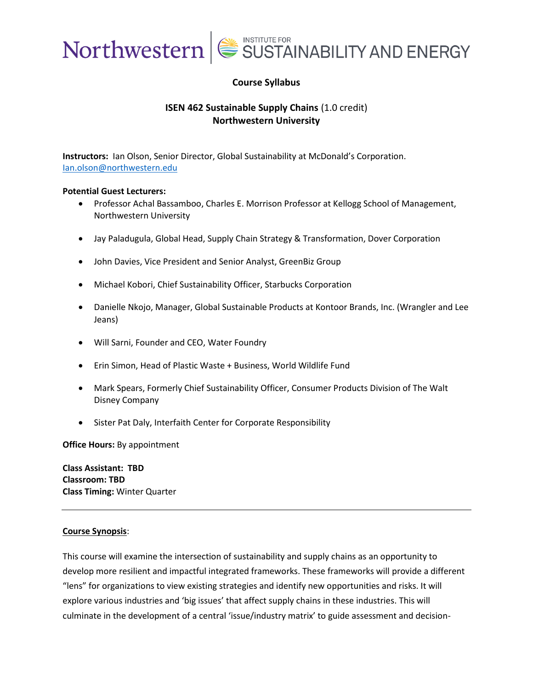

## **Course Syllabus**

## **ISEN 462 Sustainable Supply Chains** (1.0 credit) **Northwestern University**

**Instructors:** Ian Olson, Senior Director, Global Sustainability at McDonald's Corporation. [Ian.olson@northwestern.edu](mailto:Ian.olson@northwestern.edu)

### **Potential Guest Lecturers:**

- Professor Achal Bassamboo, Charles E. Morrison Professor at Kellogg School of Management, Northwestern University
- Jay Paladugula, Global Head, Supply Chain Strategy & Transformation, Dover Corporation
- John Davies, Vice President and Senior Analyst, GreenBiz Group
- Michael Kobori, Chief Sustainability Officer, Starbucks Corporation
- Danielle Nkojo, Manager, Global Sustainable Products at Kontoor Brands, Inc. (Wrangler and Lee Jeans)
- Will Sarni, Founder and CEO, Water Foundry
- Erin Simon, Head of Plastic Waste + Business, World Wildlife Fund
- Mark Spears, Formerly Chief Sustainability Officer, Consumer Products Division of The Walt Disney Company
- Sister Pat Daly, Interfaith Center for Corporate Responsibility

**Office Hours:** By appointment

**Class Assistant: TBD Classroom: TBD Class Timing:** Winter Quarter

## **Course Synopsis**:

This course will examine the intersection of sustainability and supply chains as an opportunity to develop more resilient and impactful integrated frameworks. These frameworks will provide a different "lens" for organizations to view existing strategies and identify new opportunities and risks. It will explore various industries and 'big issues' that affect supply chains in these industries. This will culminate in the development of a central 'issue/industry matrix' to guide assessment and decision-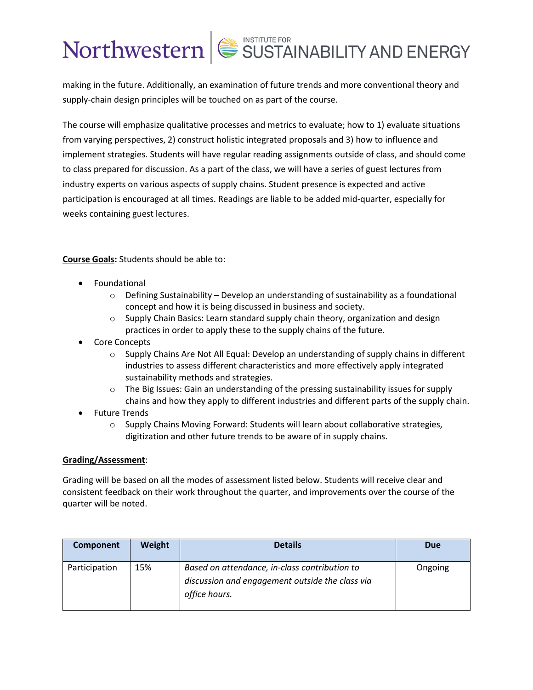making in the future. Additionally, an examination of future trends and more conventional theory and supply-chain design principles will be touched on as part of the course.

The course will emphasize qualitative processes and metrics to evaluate; how to 1) evaluate situations from varying perspectives, 2) construct holistic integrated proposals and 3) how to influence and implement strategies. Students will have regular reading assignments outside of class, and should come to class prepared for discussion. As a part of the class, we will have a series of guest lectures from industry experts on various aspects of supply chains. Student presence is expected and active participation is encouraged at all times. Readings are liable to be added mid-quarter, especially for weeks containing guest lectures.

**Course Goals:** Students should be able to:

- **Foundational** 
	- $\circ$  Defining Sustainability Develop an understanding of sustainability as a foundational concept and how it is being discussed in business and society.
	- $\circ$  Supply Chain Basics: Learn standard supply chain theory, organization and design practices in order to apply these to the supply chains of the future.
- Core Concepts
	- $\circ$  Supply Chains Are Not All Equal: Develop an understanding of supply chains in different industries to assess different characteristics and more effectively apply integrated sustainability methods and strategies.
	- $\circ$  The Big Issues: Gain an understanding of the pressing sustainability issues for supply chains and how they apply to different industries and different parts of the supply chain.
- Future Trends
	- $\circ$  Supply Chains Moving Forward: Students will learn about collaborative strategies, digitization and other future trends to be aware of in supply chains.

## **Grading/Assessment**:

Grading will be based on all the modes of assessment listed below. Students will receive clear and consistent feedback on their work throughout the quarter, and improvements over the course of the quarter will be noted.

| Component     | <b>Weight</b> | <b>Details</b>                                                                                                    | <b>Due</b> |
|---------------|---------------|-------------------------------------------------------------------------------------------------------------------|------------|
| Participation | 15%           | Based on attendance, in-class contribution to<br>discussion and engagement outside the class via<br>office hours. | Ongoing    |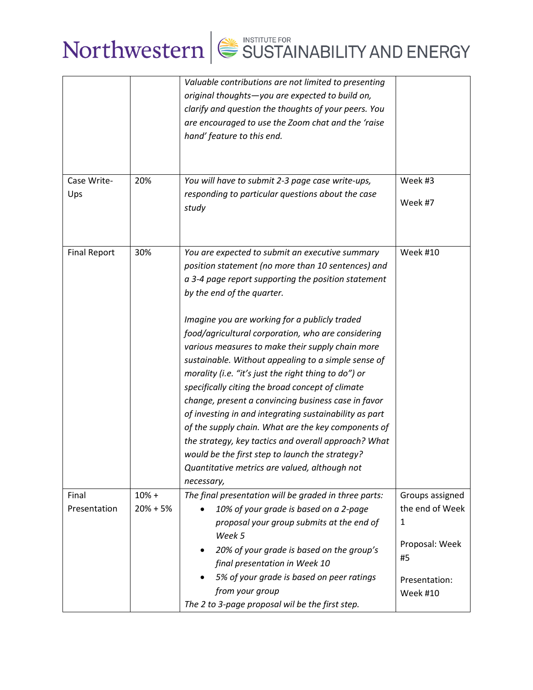|                     |            | Valuable contributions are not limited to presenting<br>original thoughts-you are expected to build on,<br>clarify and question the thoughts of your peers. You<br>are encouraged to use the Zoom chat and the 'raise<br>hand' feature to this end.                                                                                                                                                                                                                                                                                                                                                                                                                                                                                                                                                                                                                        |                                                                                  |
|---------------------|------------|----------------------------------------------------------------------------------------------------------------------------------------------------------------------------------------------------------------------------------------------------------------------------------------------------------------------------------------------------------------------------------------------------------------------------------------------------------------------------------------------------------------------------------------------------------------------------------------------------------------------------------------------------------------------------------------------------------------------------------------------------------------------------------------------------------------------------------------------------------------------------|----------------------------------------------------------------------------------|
| Case Write-         | 20%        | You will have to submit 2-3 page case write-ups,                                                                                                                                                                                                                                                                                                                                                                                                                                                                                                                                                                                                                                                                                                                                                                                                                           | Week #3                                                                          |
| Ups                 |            | responding to particular questions about the case<br>study                                                                                                                                                                                                                                                                                                                                                                                                                                                                                                                                                                                                                                                                                                                                                                                                                 | Week #7                                                                          |
| <b>Final Report</b> | 30%        | You are expected to submit an executive summary<br>position statement (no more than 10 sentences) and<br>a 3-4 page report supporting the position statement<br>by the end of the quarter.<br>Imagine you are working for a publicly traded<br>food/agricultural corporation, who are considering<br>various measures to make their supply chain more<br>sustainable. Without appealing to a simple sense of<br>morality (i.e. "it's just the right thing to do") or<br>specifically citing the broad concept of climate<br>change, present a convincing business case in favor<br>of investing in and integrating sustainability as part<br>of the supply chain. What are the key components of<br>the strategy, key tactics and overall approach? What<br>would be the first step to launch the strategy?<br>Quantitative metrics are valued, although not<br>necessary, | <b>Week #10</b>                                                                  |
| Final               | $10% +$    | The final presentation will be graded in three parts:                                                                                                                                                                                                                                                                                                                                                                                                                                                                                                                                                                                                                                                                                                                                                                                                                      | Groups assigned                                                                  |
| Presentation        | $20% + 5%$ | 10% of your grade is based on a 2-page<br>proposal your group submits at the end of<br>Week 5<br>20% of your grade is based on the group's<br>٠<br>final presentation in Week 10<br>5% of your grade is based on peer ratings<br>from your group                                                                                                                                                                                                                                                                                                                                                                                                                                                                                                                                                                                                                           | the end of Week<br>1<br>Proposal: Week<br>#5<br>Presentation:<br><b>Week #10</b> |
|                     |            | The 2 to 3-page proposal wil be the first step.                                                                                                                                                                                                                                                                                                                                                                                                                                                                                                                                                                                                                                                                                                                                                                                                                            |                                                                                  |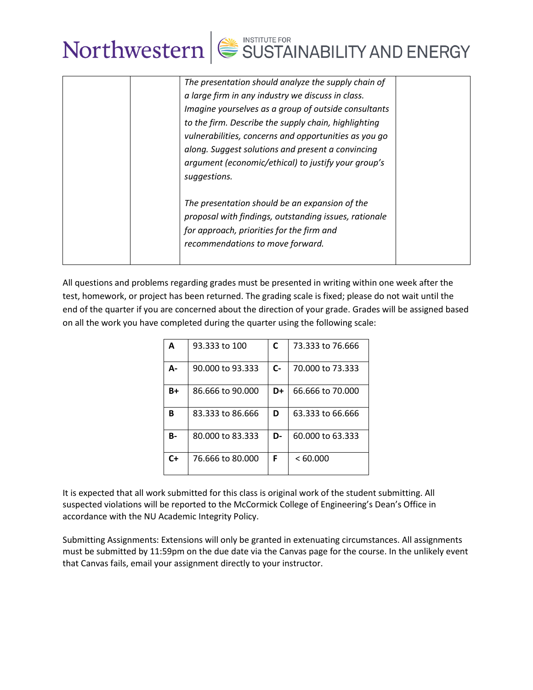

| The presentation should analyze the supply chain of   |
|-------------------------------------------------------|
| a large firm in any industry we discuss in class.     |
| Imagine yourselves as a group of outside consultants  |
| to the firm. Describe the supply chain, highlighting  |
| vulnerabilities, concerns and opportunities as you go |
| along. Suggest solutions and present a convincing     |
| argument (economic/ethical) to justify your group's   |
| suggestions.                                          |
|                                                       |
| The presentation should be an expansion of the        |
| proposal with findings, outstanding issues, rationale |
| for approach, priorities for the firm and             |
| recommendations to move forward.                      |
|                                                       |
|                                                       |

All questions and problems regarding grades must be presented in writing within one week after the test, homework, or project has been returned. The grading scale is fixed; please do not wait until the end of the quarter if you are concerned about the direction of your grade. Grades will be assigned based on all the work you have completed during the quarter using the following scale:

| A  | 93.333 to 100    | C     | 73.333 to 76.666 |
|----|------------------|-------|------------------|
| Д- | 90.000 to 93.333 | $C -$ | 70.000 to 73.333 |
| B+ | 86.666 to 90.000 | D+    | 66,666 to 70,000 |
| в  | 83.333 to 86.666 | D     | 63.333 to 66.666 |
| В- | 80,000 to 83,333 | D-    | 60.000 to 63.333 |
| C+ | 76,666 to 80,000 | F     | <60.000          |

It is expected that all work submitted for this class is original work of the student submitting. All suspected violations will be reported to the McCormick College of Engineering's Dean's Office in accordance with the NU Academic Integrity Policy.

Submitting Assignments: Extensions will only be granted in extenuating circumstances. All assignments must be submitted by 11:59pm on the due date via the Canvas page for the course. In the unlikely event that Canvas fails, email your assignment directly to your instructor.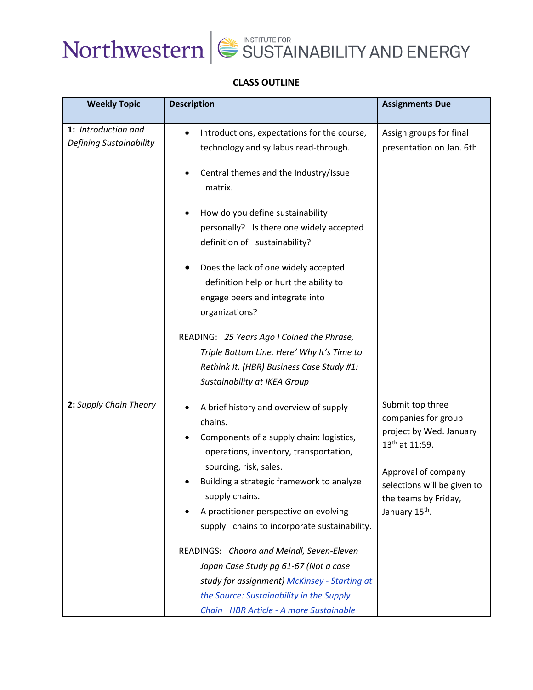



## **CLASS OUTLINE**

| <b>Weekly Topic</b>                            | <b>Description</b>                                                                                                                                                                                                                                                                                                                                                                                                                                                                                                                                     | <b>Assignments Due</b>                                                                                                                                                                                       |
|------------------------------------------------|--------------------------------------------------------------------------------------------------------------------------------------------------------------------------------------------------------------------------------------------------------------------------------------------------------------------------------------------------------------------------------------------------------------------------------------------------------------------------------------------------------------------------------------------------------|--------------------------------------------------------------------------------------------------------------------------------------------------------------------------------------------------------------|
| 1: Introduction and<br>Defining Sustainability | Introductions, expectations for the course,<br>technology and syllabus read-through.<br>Central themes and the Industry/Issue<br>matrix.<br>How do you define sustainability<br>personally? Is there one widely accepted<br>definition of sustainability?                                                                                                                                                                                                                                                                                              | Assign groups for final<br>presentation on Jan. 6th                                                                                                                                                          |
|                                                | Does the lack of one widely accepted<br>definition help or hurt the ability to<br>engage peers and integrate into<br>organizations?<br>READING: 25 Years Ago I Coined the Phrase,<br>Triple Bottom Line. Here' Why It's Time to<br>Rethink It. (HBR) Business Case Study #1:<br>Sustainability at IKEA Group                                                                                                                                                                                                                                           |                                                                                                                                                                                                              |
| 2: Supply Chain Theory                         | A brief history and overview of supply<br>chains.<br>Components of a supply chain: logistics,<br>operations, inventory, transportation,<br>sourcing, risk, sales.<br>Building a strategic framework to analyze<br>supply chains.<br>A practitioner perspective on evolving<br>supply chains to incorporate sustainability.<br>READINGS: Chopra and Meindl, Seven-Eleven<br>Japan Case Study pg 61-67 (Not a case<br>study for assignment) McKinsey - Starting at<br>the Source: Sustainability in the Supply<br>Chain HBR Article - A more Sustainable | Submit top three<br>companies for group<br>project by Wed. January<br>13 <sup>th</sup> at 11:59.<br>Approval of company<br>selections will be given to<br>the teams by Friday,<br>January 15 <sup>th</sup> . |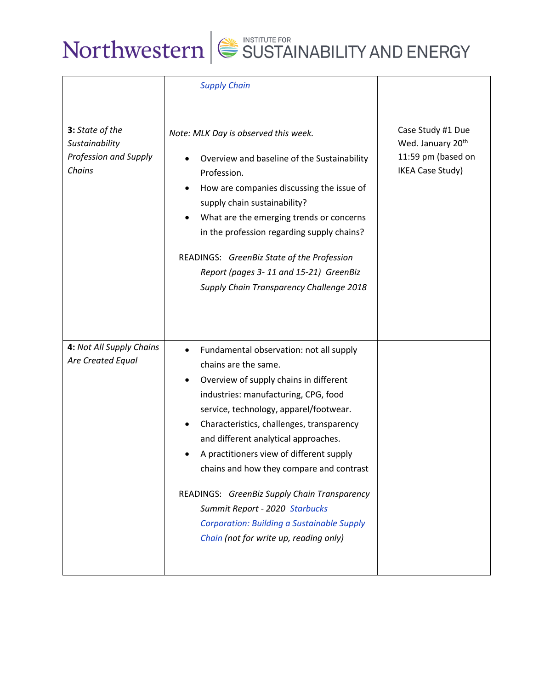|                                                                      | <b>Supply Chain</b>                                                                                                                                                                                                                                                                                                                                                                                                                                                                                                                                       |                                                                                                     |
|----------------------------------------------------------------------|-----------------------------------------------------------------------------------------------------------------------------------------------------------------------------------------------------------------------------------------------------------------------------------------------------------------------------------------------------------------------------------------------------------------------------------------------------------------------------------------------------------------------------------------------------------|-----------------------------------------------------------------------------------------------------|
| 3: State of the<br>Sustainability<br>Profession and Supply<br>Chains | Note: MLK Day is observed this week.<br>Overview and baseline of the Sustainability<br>Profession.<br>How are companies discussing the issue of<br>supply chain sustainability?<br>What are the emerging trends or concerns<br>in the profession regarding supply chains?<br>READINGS: GreenBiz State of the Profession<br>Report (pages 3-11 and 15-21) GreenBiz<br>Supply Chain Transparency Challenge 2018                                                                                                                                             | Case Study #1 Due<br>Wed. January 20 <sup>th</sup><br>11:59 pm (based on<br><b>IKEA Case Study)</b> |
| 4: Not All Supply Chains<br>Are Created Equal                        | Fundamental observation: not all supply<br>chains are the same.<br>Overview of supply chains in different<br>industries: manufacturing, CPG, food<br>service, technology, apparel/footwear.<br>Characteristics, challenges, transparency<br>and different analytical approaches.<br>A practitioners view of different supply<br>chains and how they compare and contrast<br>READINGS: GreenBiz Supply Chain Transparency<br>Summit Report - 2020 Starbucks<br><b>Corporation: Building a Sustainable Supply</b><br>Chain (not for write up, reading only) |                                                                                                     |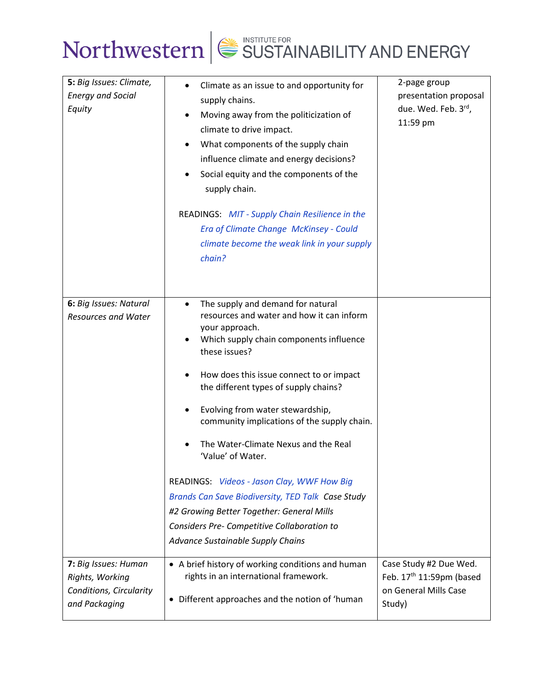

| 5: Big Issues: Climate,<br><b>Energy and Social</b><br>Equity<br>6: Big Issues: Natural | Climate as an issue to and opportunity for<br>supply chains.<br>Moving away from the politicization of<br>climate to drive impact.<br>What components of the supply chain<br>influence climate and energy decisions?<br>Social equity and the components of the<br>supply chain.<br>READINGS: MIT - Supply Chain Resilience in the<br><b>Era of Climate Change McKinsey - Could</b><br>climate become the weak link in your supply<br>chain?<br>$\bullet$                                                                                                                                                                             | 2-page group<br>presentation proposal<br>due. Wed. Feb. 3rd,<br>11:59 pm                          |
|-----------------------------------------------------------------------------------------|---------------------------------------------------------------------------------------------------------------------------------------------------------------------------------------------------------------------------------------------------------------------------------------------------------------------------------------------------------------------------------------------------------------------------------------------------------------------------------------------------------------------------------------------------------------------------------------------------------------------------------------|---------------------------------------------------------------------------------------------------|
| <b>Resources and Water</b>                                                              | The supply and demand for natural<br>resources and water and how it can inform<br>your approach.<br>Which supply chain components influence<br>these issues?<br>How does this issue connect to or impact<br>the different types of supply chains?<br>Evolving from water stewardship,<br>community implications of the supply chain.<br>The Water-Climate Nexus and the Real<br>'Value' of Water.<br>READINGS: Videos - Jason Clay, WWF How Big<br>Brands Can Save Biodiversity, TED Talk Case Study<br>#2 Growing Better Together: General Mills<br>Considers Pre- Competitive Collaboration to<br>Advance Sustainable Supply Chains |                                                                                                   |
| 7: Big Issues: Human<br>Rights, Working<br>Conditions, Circularity<br>and Packaging     | • A brief history of working conditions and human<br>rights in an international framework.<br>• Different approaches and the notion of 'human                                                                                                                                                                                                                                                                                                                                                                                                                                                                                         | Case Study #2 Due Wed.<br>Feb. 17 <sup>th</sup> 11:59pm (based<br>on General Mills Case<br>Study) |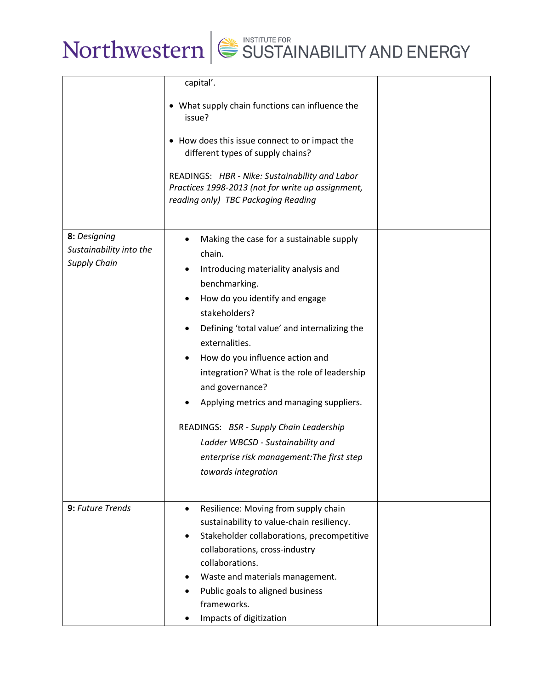

|                                                                | capital'.<br>• What supply chain functions can influence the<br>issue?<br>• How does this issue connect to or impact the<br>different types of supply chains?<br>READINGS: HBR - Nike: Sustainability and Labor<br>Practices 1998-2013 (not for write up assignment,<br>reading only) TBC Packaging Reading                                                                                                                                                                                                                            |  |
|----------------------------------------------------------------|----------------------------------------------------------------------------------------------------------------------------------------------------------------------------------------------------------------------------------------------------------------------------------------------------------------------------------------------------------------------------------------------------------------------------------------------------------------------------------------------------------------------------------------|--|
| 8: Designing<br>Sustainability into the<br><b>Supply Chain</b> | Making the case for a sustainable supply<br>chain.<br>Introducing materiality analysis and<br>benchmarking.<br>How do you identify and engage<br>stakeholders?<br>Defining 'total value' and internalizing the<br>externalities.<br>How do you influence action and<br>integration? What is the role of leadership<br>and governance?<br>Applying metrics and managing suppliers.<br>READINGS: BSR - Supply Chain Leadership<br>Ladder WBCSD - Sustainability and<br>enterprise risk management: The first step<br>towards integration |  |
| 9: Future Trends                                               | Resilience: Moving from supply chain<br>$\bullet$<br>sustainability to value-chain resiliency.<br>Stakeholder collaborations, precompetitive<br>collaborations, cross-industry<br>collaborations.<br>Waste and materials management.<br>Public goals to aligned business<br>frameworks.<br>Impacts of digitization                                                                                                                                                                                                                     |  |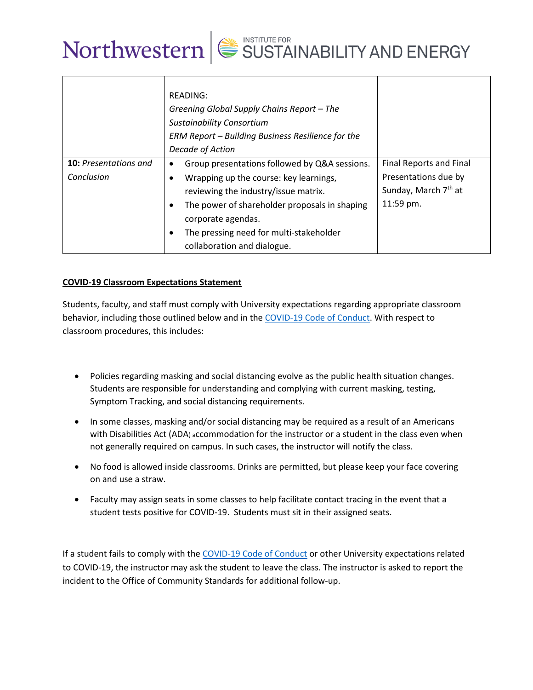

|                                     | READING:<br>Greening Global Supply Chains Report - The<br><b>Sustainability Consortium</b><br>ERM Report - Building Business Resilience for the<br>Decade of Action                                                                                                              |                                                                                                  |
|-------------------------------------|----------------------------------------------------------------------------------------------------------------------------------------------------------------------------------------------------------------------------------------------------------------------------------|--------------------------------------------------------------------------------------------------|
| 10: Presentations and<br>Conclusion | Group presentations followed by Q&A sessions.<br>Wrapping up the course: key learnings,<br>reviewing the industry/issue matrix.<br>The power of shareholder proposals in shaping<br>corporate agendas.<br>The pressing need for multi-stakeholder<br>collaboration and dialogue. | Final Reports and Final<br>Presentations due by<br>Sunday, March 7 <sup>th</sup> at<br>11:59 pm. |

## **COVID-19 Classroom Expectations Statement**

Students, faculty, and staff must comply with University expectations regarding appropriate classroom behavior, including those outlined below and in the COVID-19 Code of Conduct. With respect to classroom procedures, this includes:

- Policies regarding masking and social distancing evolve as the public health situation changes. Students are responsible for understanding and complying with current masking, testing, Symptom Tracking, and social distancing requirements.
- In some classes, masking and/or social distancing may be required as a result of an Americans with Disabilities Act (ADA) accommodation for the instructor or a student in the class even when not generally required on campus. In such cases, the instructor will notify the class.
- No food is allowed inside classrooms. Drinks are permitted, but please keep your face covering on and use a straw.
- Faculty may assign seats in some classes to help facilitate contact tracing in the event that a student tests positive for COVID-19. Students must sit in their assigned seats.

If a student fails to comply with the COVID-19 Code of Conduct or other University expectations related to COVID-19, the instructor may ask the student to leave the class. The instructor is asked to report the incident to the Office of Community Standards for additional follow-up.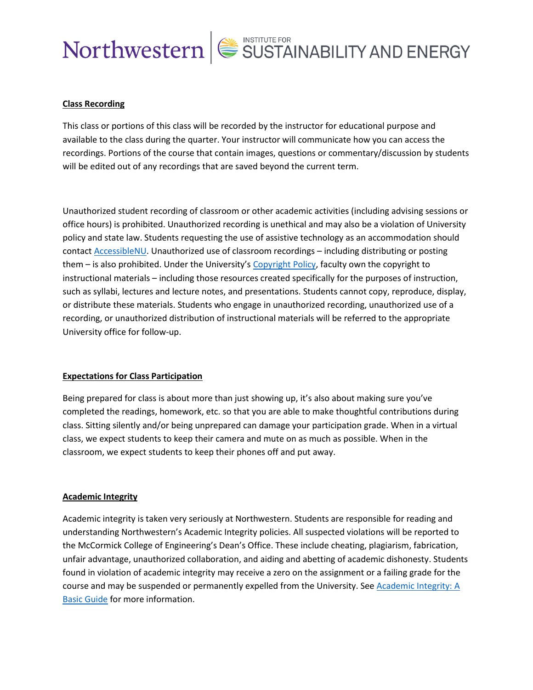

## **Class Recording**

This class or portions of this class will be recorded by the instructor for educational purpose and available to the class during the quarter. Your instructor will communicate how you can access the recordings. Portions of the course that contain images, questions or commentary/discussion by students will be edited out of any recordings that are saved beyond the current term.

Unauthorized student recording of classroom or other academic activities (including advising sessions or office hours) is prohibited. Unauthorized recording is unethical and may also be a violation of University policy and state law. Students requesting the use of assistive technology as an accommodation should contact AccessibleNU. Unauthorized use of classroom recordings – including distributing or posting them – is also prohibited. Under the University's Copyright Policy, faculty own the copyright to instructional materials – including those resources created specifically for the purposes of instruction, such as syllabi, lectures and lecture notes, and presentations. Students cannot copy, reproduce, display, or distribute these materials. Students who engage in unauthorized recording, unauthorized use of a recording, or unauthorized distribution of instructional materials will be referred to the appropriate University office for follow-up.

### **Expectations for Class Participation**

Being prepared for class is about more than just showing up, it's also about making sure you've completed the readings, homework, etc. so that you are able to make thoughtful contributions during class. Sitting silently and/or being unprepared can damage your participation grade. When in a virtual class, we expect students to keep their camera and mute on as much as possible. When in the classroom, we expect students to keep their phones off and put away.

### **Academic Integrity**

Academic integrity is taken very seriously at Northwestern. Students are responsible for reading and understanding Northwestern's Academic Integrity policies. All suspected violations will be reported to the McCormick College of Engineering's Dean's Office. These include cheating, plagiarism, fabrication, unfair advantage, unauthorized collaboration, and aiding and abetting of academic dishonesty. Students found in violation of academic integrity may receive a zero on the assignment or a failing grade for the course and may be suspended or permanently expelled from the University. See Academic Integrity: A Basic Guide for more information.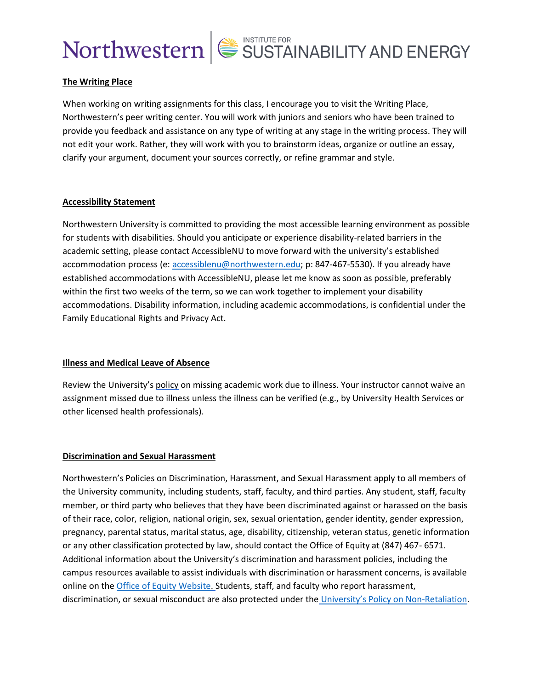## **The Writing Place**

When working on writing assignments for this class, I encourage you to visit the Writing Place, Northwestern's peer writing center. You will work with juniors and seniors who have been trained to provide you feedback and assistance on any type of writing at any stage in the writing process. They will not edit your work. Rather, they will work with you to brainstorm ideas, organize or outline an essay, clarify your argument, document your sources correctly, or refine grammar and style.

## **Accessibility Statement**

Northwestern University is committed to providing the most accessible learning environment as possible for students with disabilities. Should you anticipate or experience disability-related barriers in the academic setting, please contact AccessibleNU to move forward with the university's established accommodation process (e: accessiblenu@northwestern.edu; p: 847-467-5530). If you already have established accommodations with AccessibleNU, please let me know as soon as possible, preferably within the first two weeks of the term, so we can work together to implement your disability accommodations. Disability information, including academic accommodations, is confidential under the Family Educational Rights and Privacy Act.

## **Illness and Medical Leave of Absence**

Review the University's policy on missing academic work due to illness. Your instructor cannot waive an assignment missed due to illness unless the illness can be verified (e.g., by University Health Services or other licensed health professionals).

## **Discrimination and Sexual Harassment**

Northwestern's Policies on Discrimination, Harassment, and Sexual Harassment apply to all members of the University community, including students, staff, faculty, and third parties. Any student, staff, faculty member, or third party who believes that they have been discriminated against or harassed on the basis of their race, color, religion, national origin, sex, sexual orientation, gender identity, gender expression, pregnancy, parental status, marital status, age, disability, citizenship, veteran status, genetic information or any other classification protected by law, should contact the Office of Equity at (847) 467- 6571. Additional information about the University's discrimination and harassment policies, including the campus resources available to assist individuals with discrimination or harassment concerns, is available online on the Office of Equity Website. Students, staff, and faculty who report harassment, discrimination, or sexual misconduct are also protected under the University's Policy on Non-Retaliation.